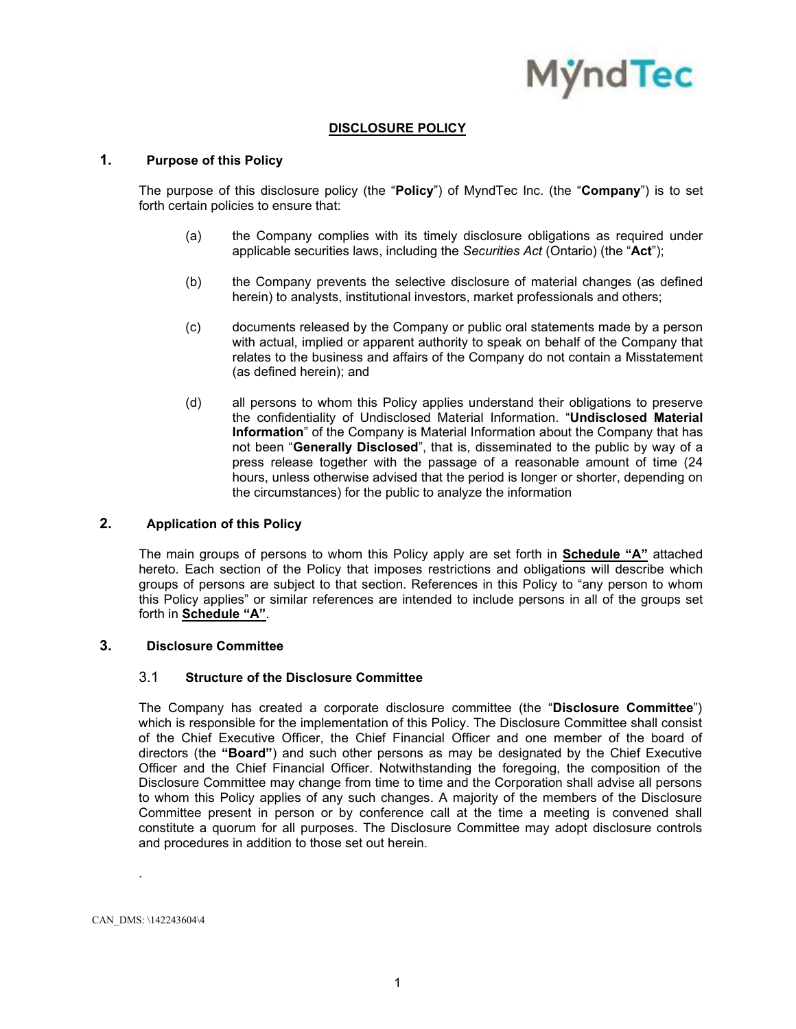

# **DISCLOSURE POLICY**

### **1. Purpose of this Policy**

The purpose of this disclosure policy (the "**Policy**") of MyndTec Inc. (the "**Company**") is to set forth certain policies to ensure that:

- (a) the Company complies with its timely disclosure obligations as required under applicable securities laws, including the *Securities Act* (Ontario) (the "**Act**");
- (b) the Company prevents the selective disclosure of material changes (as defined herein) to analysts, institutional investors, market professionals and others;
- (c) documents released by the Company or public oral statements made by a person with actual, implied or apparent authority to speak on behalf of the Company that relates to the business and affairs of the Company do not contain a Misstatement (as defined herein); and
- (d) all persons to whom this Policy applies understand their obligations to preserve the confidentiality of Undisclosed Material Information. "**Undisclosed Material Information**" of the Company is Material Information about the Company that has not been "**Generally Disclosed**", that is, disseminated to the public by way of a press release together with the passage of a reasonable amount of time (24 hours, unless otherwise advised that the period is longer or shorter, depending on the circumstances) for the public to analyze the information

#### **2. Application of this Policy**

The main groups of persons to whom this Policy apply are set forth in **Schedule "A"** attached hereto. Each section of the Policy that imposes restrictions and obligations will describe which groups of persons are subject to that section. References in this Policy to "any person to whom this Policy applies" or similar references are intended to include persons in all of the groups set forth in **Schedule "A"**.

## **3. Disclosure Committee**

#### 3.1 **Structure of the Disclosure Committee**

The Company has created a corporate disclosure committee (the "**Disclosure Committee**") which is responsible for the implementation of this Policy. The Disclosure Committee shall consist of the Chief Executive Officer, the Chief Financial Officer and one member of the board of directors (the **"Board"**) and such other persons as may be designated by the Chief Executive Officer and the Chief Financial Officer. Notwithstanding the foregoing, the composition of the Disclosure Committee may change from time to time and the Corporation shall advise all persons to whom this Policy applies of any such changes. A majority of the members of the Disclosure Committee present in person or by conference call at the time a meeting is convened shall constitute a quorum for all purposes. The Disclosure Committee may adopt disclosure controls and procedures in addition to those set out herein.

CAN\_DMS: \142243604\4

.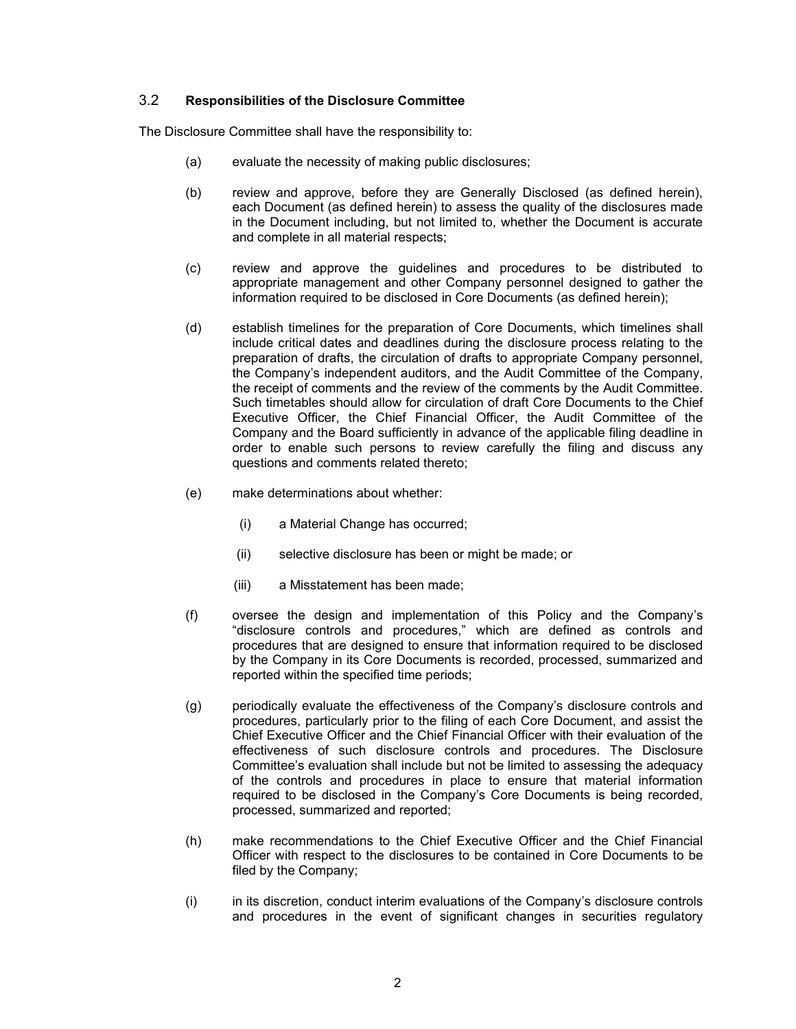## 3.2 **Responsibilities of the Disclosure Committee**

The Disclosure Committee shall have the responsibility to:

- (a) evaluate the necessity of making public disclosures;
- (b) review and approve, before they are Generally Disclosed (as defined herein), each Document (as defined herein) to assess the quality of the disclosures made in the Document including, but not limited to, whether the Document is accurate and complete in all material respects;
- (c) review and approve the guidelines and procedures to be distributed to appropriate management and other Company personnel designed to gather the information required to be disclosed in Core Documents (as defined herein);
- (d) establish timelines for the preparation of Core Documents, which timelines shall include critical dates and deadlines during the disclosure process relating to the preparation of drafts, the circulation of drafts to appropriate Company personnel, the Company's independent auditors, and the Audit Committee of the Company, the receipt of comments and the review of the comments by the Audit Committee. Such timetables should allow for circulation of draft Core Documents to the Chief Executive Officer, the Chief Financial Officer, the Audit Committee of the Company and the Board sufficiently in advance of the applicable filing deadline in order to enable such persons to review carefully the filing and discuss any questions and comments related thereto;
- (e) make determinations about whether:
	- (i) a Material Change has occurred;
	- (ii) selective disclosure has been or might be made; or
	- (iii) a Misstatement has been made;
- (f) oversee the design and implementation of this Policy and the Company's "disclosure controls and procedures," which are defined as controls and procedures that are designed to ensure that information required to be disclosed by the Company in its Core Documents is recorded, processed, summarized and reported within the specified time periods;
- (g) periodically evaluate the effectiveness of the Company's disclosure controls and procedures, particularly prior to the filing of each Core Document, and assist the Chief Executive Officer and the Chief Financial Officer with their evaluation of the effectiveness of such disclosure controls and procedures. The Disclosure Committee's evaluation shall include but not be limited to assessing the adequacy of the controls and procedures in place to ensure that material information required to be disclosed in the Company's Core Documents is being recorded, processed, summarized and reported;
- (h) make recommendations to the Chief Executive Officer and the Chief Financial Officer with respect to the disclosures to be contained in Core Documents to be filed by the Company;
- (i) in its discretion, conduct interim evaluations of the Company's disclosure controls and procedures in the event of significant changes in securities regulatory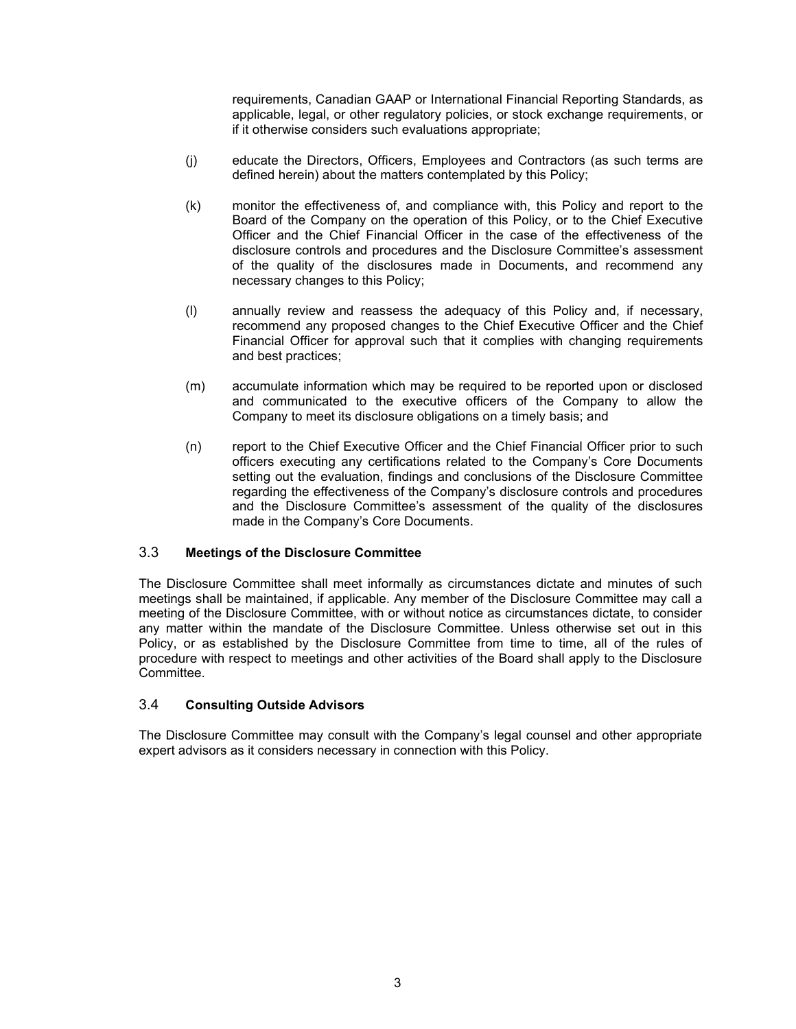requirements, Canadian GAAP or International Financial Reporting Standards, as applicable, legal, or other regulatory policies, or stock exchange requirements, or if it otherwise considers such evaluations appropriate;

- (j) educate the Directors, Officers, Employees and Contractors (as such terms are defined herein) about the matters contemplated by this Policy;
- (k) monitor the effectiveness of, and compliance with, this Policy and report to the Board of the Company on the operation of this Policy, or to the Chief Executive Officer and the Chief Financial Officer in the case of the effectiveness of the disclosure controls and procedures and the Disclosure Committee's assessment of the quality of the disclosures made in Documents, and recommend any necessary changes to this Policy;
- (l) annually review and reassess the adequacy of this Policy and, if necessary, recommend any proposed changes to the Chief Executive Officer and the Chief Financial Officer for approval such that it complies with changing requirements and best practices;
- (m) accumulate information which may be required to be reported upon or disclosed and communicated to the executive officers of the Company to allow the Company to meet its disclosure obligations on a timely basis; and
- (n) report to the Chief Executive Officer and the Chief Financial Officer prior to such officers executing any certifications related to the Company's Core Documents setting out the evaluation, findings and conclusions of the Disclosure Committee regarding the effectiveness of the Company's disclosure controls and procedures and the Disclosure Committee's assessment of the quality of the disclosures made in the Company's Core Documents.

#### 3.3 **Meetings of the Disclosure Committee**

The Disclosure Committee shall meet informally as circumstances dictate and minutes of such meetings shall be maintained, if applicable. Any member of the Disclosure Committee may call a meeting of the Disclosure Committee, with or without notice as circumstances dictate, to consider any matter within the mandate of the Disclosure Committee. Unless otherwise set out in this Policy, or as established by the Disclosure Committee from time to time, all of the rules of procedure with respect to meetings and other activities of the Board shall apply to the Disclosure Committee.

#### 3.4 **Consulting Outside Advisors**

The Disclosure Committee may consult with the Company's legal counsel and other appropriate expert advisors as it considers necessary in connection with this Policy.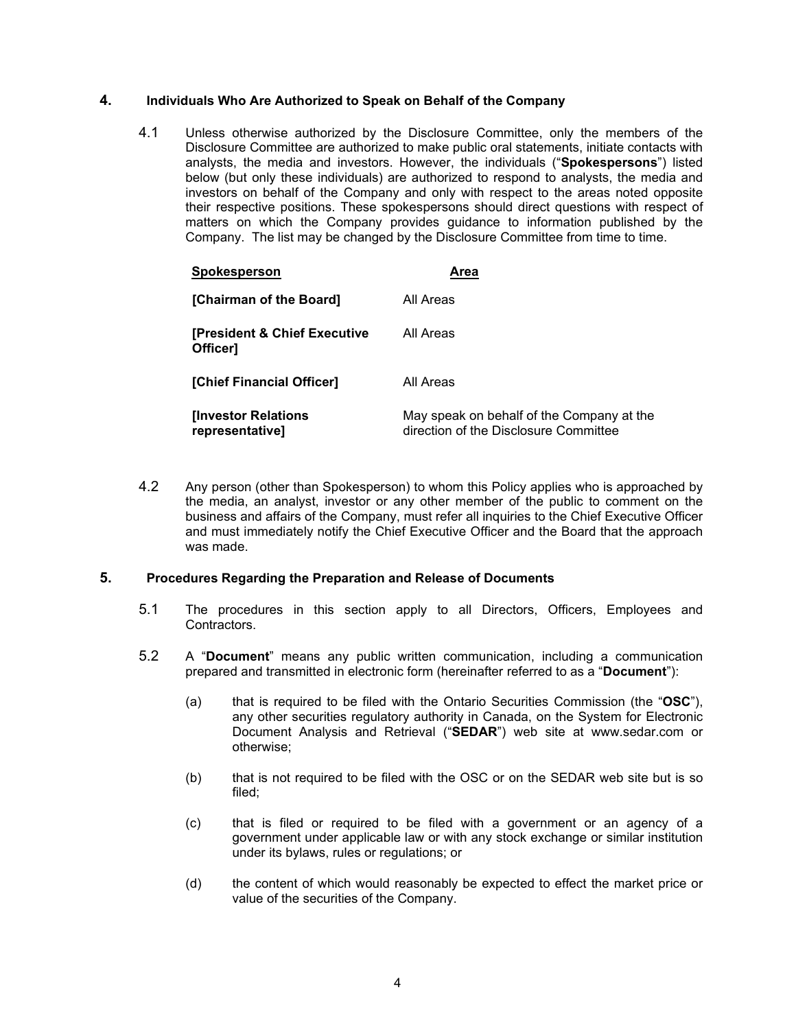## **4. Individuals Who Are Authorized to Speak on Behalf of the Company**

4.1 Unless otherwise authorized by the Disclosure Committee, only the members of the Disclosure Committee are authorized to make public oral statements, initiate contacts with analysts, the media and investors. However, the individuals ("**Spokespersons**") listed below (but only these individuals) are authorized to respond to analysts, the media and investors on behalf of the Company and only with respect to the areas noted opposite their respective positions. These spokespersons should direct questions with respect of matters on which the Company provides guidance to information published by the Company. The list may be changed by the Disclosure Committee from time to time.

| Spokesperson                                 | Area                                                                               |
|----------------------------------------------|------------------------------------------------------------------------------------|
| [Chairman of the Board]                      | All Areas                                                                          |
| [President & Chief Executive<br>Officer]     | All Areas                                                                          |
| [Chief Financial Officer]                    | All Areas                                                                          |
| <b>Investor Relations</b><br>representative] | May speak on behalf of the Company at the<br>direction of the Disclosure Committee |

4.2 Any person (other than Spokesperson) to whom this Policy applies who is approached by the media, an analyst, investor or any other member of the public to comment on the business and affairs of the Company, must refer all inquiries to the Chief Executive Officer and must immediately notify the Chief Executive Officer and the Board that the approach was made.

## **5. Procedures Regarding the Preparation and Release of Documents**

- 5.1 The procedures in this section apply to all Directors, Officers, Employees and Contractors.
- 5.2 A "**Document**" means any public written communication, including a communication prepared and transmitted in electronic form (hereinafter referred to as a "**Document**"):
	- (a) that is required to be filed with the Ontario Securities Commission (the "**OSC**"), any other securities regulatory authority in Canada, on the System for Electronic Document Analysis and Retrieval ("**SEDAR**") web site at www.sedar.com or otherwise;
	- (b) that is not required to be filed with the OSC or on the SEDAR web site but is so filed;
	- (c) that is filed or required to be filed with a government or an agency of a government under applicable law or with any stock exchange or similar institution under its bylaws, rules or regulations; or
	- (d) the content of which would reasonably be expected to effect the market price or value of the securities of the Company.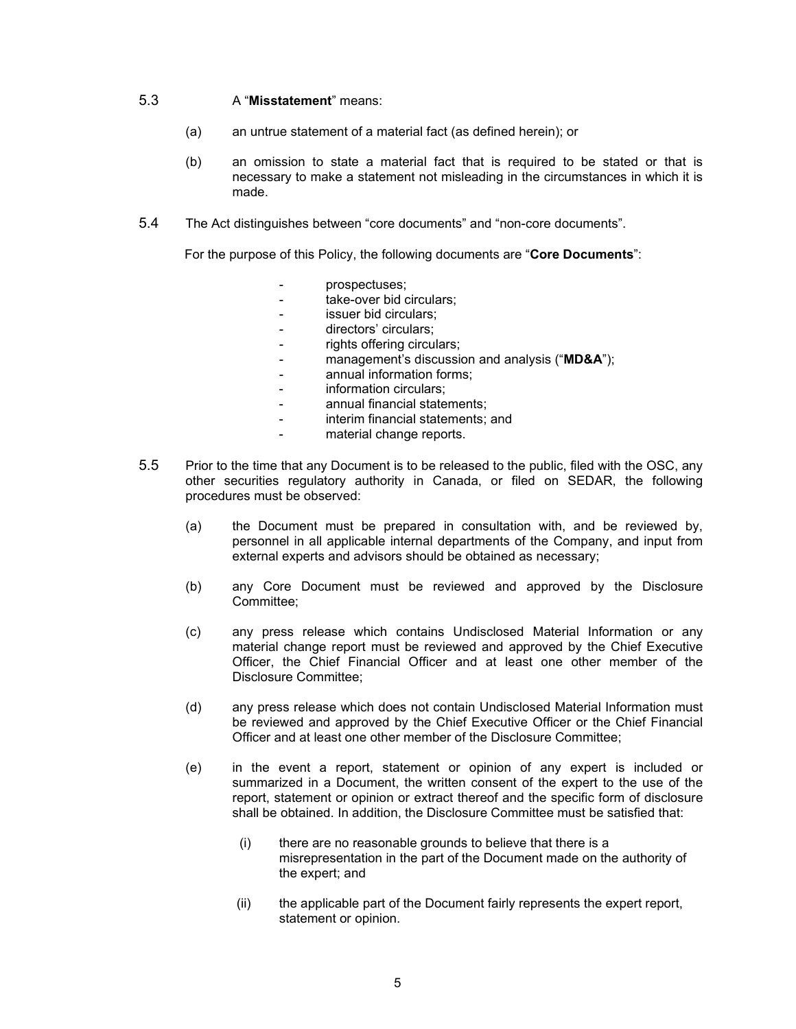#### 5.3 A "**Misstatement**" means:

- (a) an untrue statement of a material fact (as defined herein); or
- (b) an omission to state a material fact that is required to be stated or that is necessary to make a statement not misleading in the circumstances in which it is made.
- 5.4 The Act distinguishes between "core documents" and "non-core documents".

For the purpose of this Policy, the following documents are "**Core Documents**":

- prospectuses;
- take-over bid circulars:
- issuer bid circulars:
- directors' circulars;
- rights offering circulars;
- management's discussion and analysis ("**MD&A**");
- annual information forms:
- information circulars;
- annual financial statements:
- interim financial statements; and
- material change reports.
- 5.5 Prior to the time that any Document is to be released to the public, filed with the OSC, any other securities regulatory authority in Canada, or filed on SEDAR, the following procedures must be observed:
	- (a) the Document must be prepared in consultation with, and be reviewed by, personnel in all applicable internal departments of the Company, and input from external experts and advisors should be obtained as necessary;
	- (b) any Core Document must be reviewed and approved by the Disclosure Committee;
	- (c) any press release which contains Undisclosed Material Information or any material change report must be reviewed and approved by the Chief Executive Officer, the Chief Financial Officer and at least one other member of the Disclosure Committee;
	- (d) any press release which does not contain Undisclosed Material Information must be reviewed and approved by the Chief Executive Officer or the Chief Financial Officer and at least one other member of the Disclosure Committee;
	- (e) in the event a report, statement or opinion of any expert is included or summarized in a Document, the written consent of the expert to the use of the report, statement or opinion or extract thereof and the specific form of disclosure shall be obtained. In addition, the Disclosure Committee must be satisfied that:
		- (i) there are no reasonable grounds to believe that there is a misrepresentation in the part of the Document made on the authority of the expert; and
		- (ii) the applicable part of the Document fairly represents the expert report, statement or opinion.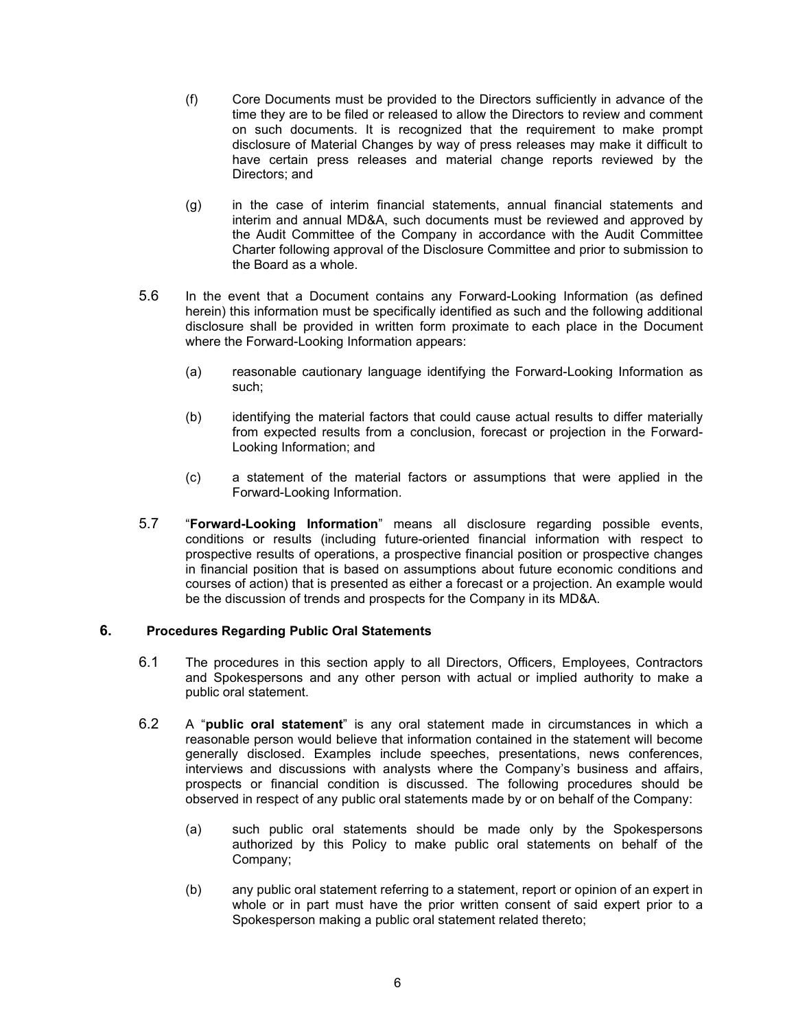- (f) Core Documents must be provided to the Directors sufficiently in advance of the time they are to be filed or released to allow the Directors to review and comment on such documents. It is recognized that the requirement to make prompt disclosure of Material Changes by way of press releases may make it difficult to have certain press releases and material change reports reviewed by the Directors; and
- (g) in the case of interim financial statements, annual financial statements and interim and annual MD&A, such documents must be reviewed and approved by the Audit Committee of the Company in accordance with the Audit Committee Charter following approval of the Disclosure Committee and prior to submission to the Board as a whole.
- 5.6 In the event that a Document contains any Forward-Looking Information (as defined herein) this information must be specifically identified as such and the following additional disclosure shall be provided in written form proximate to each place in the Document where the Forward-Looking Information appears:
	- (a) reasonable cautionary language identifying the Forward-Looking Information as such;
	- (b) identifying the material factors that could cause actual results to differ materially from expected results from a conclusion, forecast or projection in the Forward-Looking Information; and
	- (c) a statement of the material factors or assumptions that were applied in the Forward-Looking Information.
- 5.7 "**Forward-Looking Information**" means all disclosure regarding possible events, conditions or results (including future-oriented financial information with respect to prospective results of operations, a prospective financial position or prospective changes in financial position that is based on assumptions about future economic conditions and courses of action) that is presented as either a forecast or a projection. An example would be the discussion of trends and prospects for the Company in its MD&A.

#### **6. Procedures Regarding Public Oral Statements**

- 6.1 The procedures in this section apply to all Directors, Officers, Employees, Contractors and Spokespersons and any other person with actual or implied authority to make a public oral statement.
- 6.2 A "**public oral statement**" is any oral statement made in circumstances in which a reasonable person would believe that information contained in the statement will become generally disclosed. Examples include speeches, presentations, news conferences, interviews and discussions with analysts where the Company's business and affairs, prospects or financial condition is discussed. The following procedures should be observed in respect of any public oral statements made by or on behalf of the Company:
	- (a) such public oral statements should be made only by the Spokespersons authorized by this Policy to make public oral statements on behalf of the Company;
	- (b) any public oral statement referring to a statement, report or opinion of an expert in whole or in part must have the prior written consent of said expert prior to a Spokesperson making a public oral statement related thereto;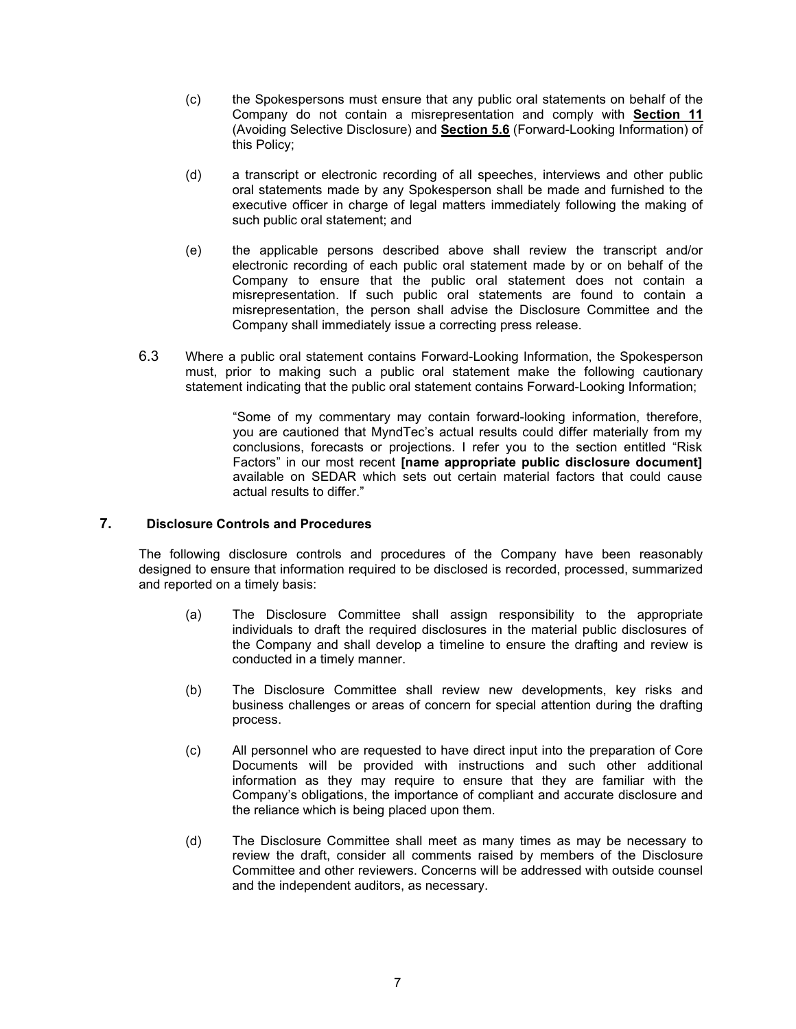- (c) the Spokespersons must ensure that any public oral statements on behalf of the Company do not contain a misrepresentation and comply with **Section 11** (Avoiding Selective Disclosure) and **Section 5.6** (Forward-Looking Information) of this Policy;
- (d) a transcript or electronic recording of all speeches, interviews and other public oral statements made by any Spokesperson shall be made and furnished to the executive officer in charge of legal matters immediately following the making of such public oral statement; and
- (e) the applicable persons described above shall review the transcript and/or electronic recording of each public oral statement made by or on behalf of the Company to ensure that the public oral statement does not contain a misrepresentation. If such public oral statements are found to contain a misrepresentation, the person shall advise the Disclosure Committee and the Company shall immediately issue a correcting press release.
- 6.3 Where a public oral statement contains Forward-Looking Information, the Spokesperson must, prior to making such a public oral statement make the following cautionary statement indicating that the public oral statement contains Forward-Looking Information;

"Some of my commentary may contain forward-looking information, therefore, you are cautioned that MyndTec's actual results could differ materially from my conclusions, forecasts or projections. I refer you to the section entitled "Risk Factors" in our most recent **[name appropriate public disclosure document]** available on SEDAR which sets out certain material factors that could cause actual results to differ."

#### **7. Disclosure Controls and Procedures**

The following disclosure controls and procedures of the Company have been reasonably designed to ensure that information required to be disclosed is recorded, processed, summarized and reported on a timely basis:

- (a) The Disclosure Committee shall assign responsibility to the appropriate individuals to draft the required disclosures in the material public disclosures of the Company and shall develop a timeline to ensure the drafting and review is conducted in a timely manner.
- (b) The Disclosure Committee shall review new developments, key risks and business challenges or areas of concern for special attention during the drafting process.
- (c) All personnel who are requested to have direct input into the preparation of Core Documents will be provided with instructions and such other additional information as they may require to ensure that they are familiar with the Company's obligations, the importance of compliant and accurate disclosure and the reliance which is being placed upon them.
- (d) The Disclosure Committee shall meet as many times as may be necessary to review the draft, consider all comments raised by members of the Disclosure Committee and other reviewers. Concerns will be addressed with outside counsel and the independent auditors, as necessary.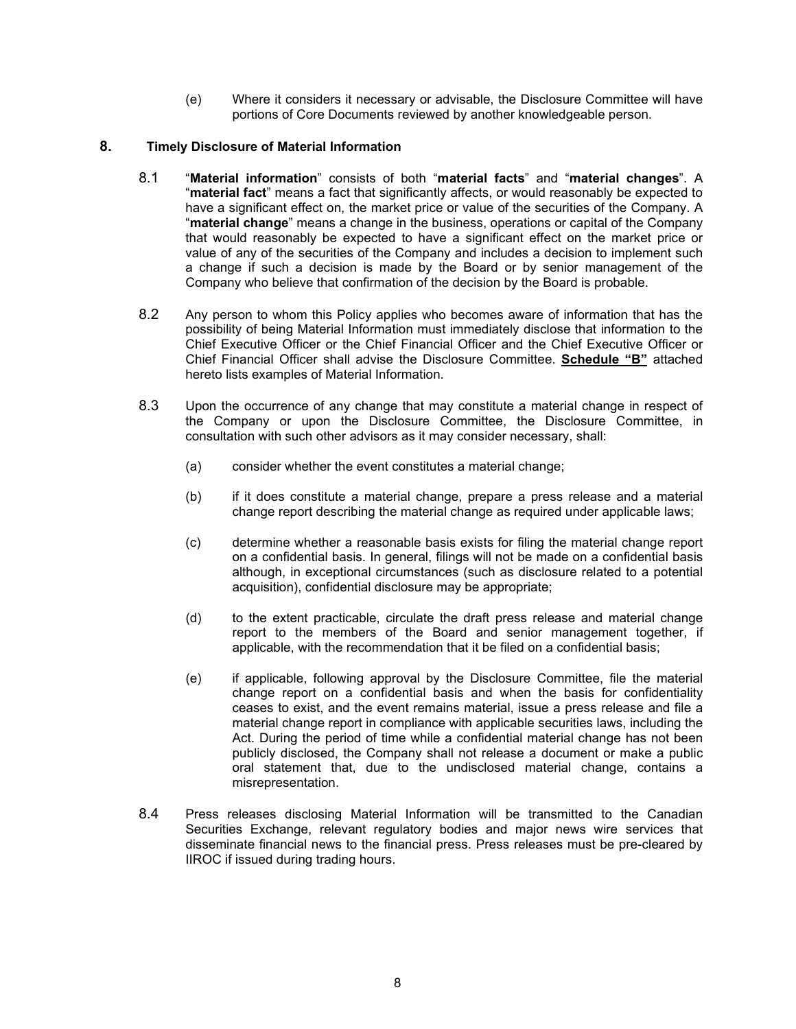(e) Where it considers it necessary or advisable, the Disclosure Committee will have portions of Core Documents reviewed by another knowledgeable person.

## **8. Timely Disclosure of Material Information**

- 8.1 "**Material information**" consists of both "**material facts**" and "**material changes**". A "**material fact**" means a fact that significantly affects, or would reasonably be expected to have a significant effect on, the market price or value of the securities of the Company. A "**material change**" means a change in the business, operations or capital of the Company that would reasonably be expected to have a significant effect on the market price or value of any of the securities of the Company and includes a decision to implement such a change if such a decision is made by the Board or by senior management of the Company who believe that confirmation of the decision by the Board is probable.
- 8.2 Any person to whom this Policy applies who becomes aware of information that has the possibility of being Material Information must immediately disclose that information to the Chief Executive Officer or the Chief Financial Officer and the Chief Executive Officer or Chief Financial Officer shall advise the Disclosure Committee. **Schedule "B"** attached hereto lists examples of Material Information.
- 8.3 Upon the occurrence of any change that may constitute a material change in respect of the Company or upon the Disclosure Committee, the Disclosure Committee, in consultation with such other advisors as it may consider necessary, shall:
	- (a) consider whether the event constitutes a material change;
	- (b) if it does constitute a material change, prepare a press release and a material change report describing the material change as required under applicable laws;
	- (c) determine whether a reasonable basis exists for filing the material change report on a confidential basis. In general, filings will not be made on a confidential basis although, in exceptional circumstances (such as disclosure related to a potential acquisition), confidential disclosure may be appropriate;
	- (d) to the extent practicable, circulate the draft press release and material change report to the members of the Board and senior management together, if applicable, with the recommendation that it be filed on a confidential basis;
	- (e) if applicable, following approval by the Disclosure Committee, file the material change report on a confidential basis and when the basis for confidentiality ceases to exist, and the event remains material, issue a press release and file a material change report in compliance with applicable securities laws, including the Act. During the period of time while a confidential material change has not been publicly disclosed, the Company shall not release a document or make a public oral statement that, due to the undisclosed material change, contains a misrepresentation.
- 8.4 Press releases disclosing Material Information will be transmitted to the Canadian Securities Exchange, relevant regulatory bodies and major news wire services that disseminate financial news to the financial press. Press releases must be pre-cleared by IIROC if issued during trading hours.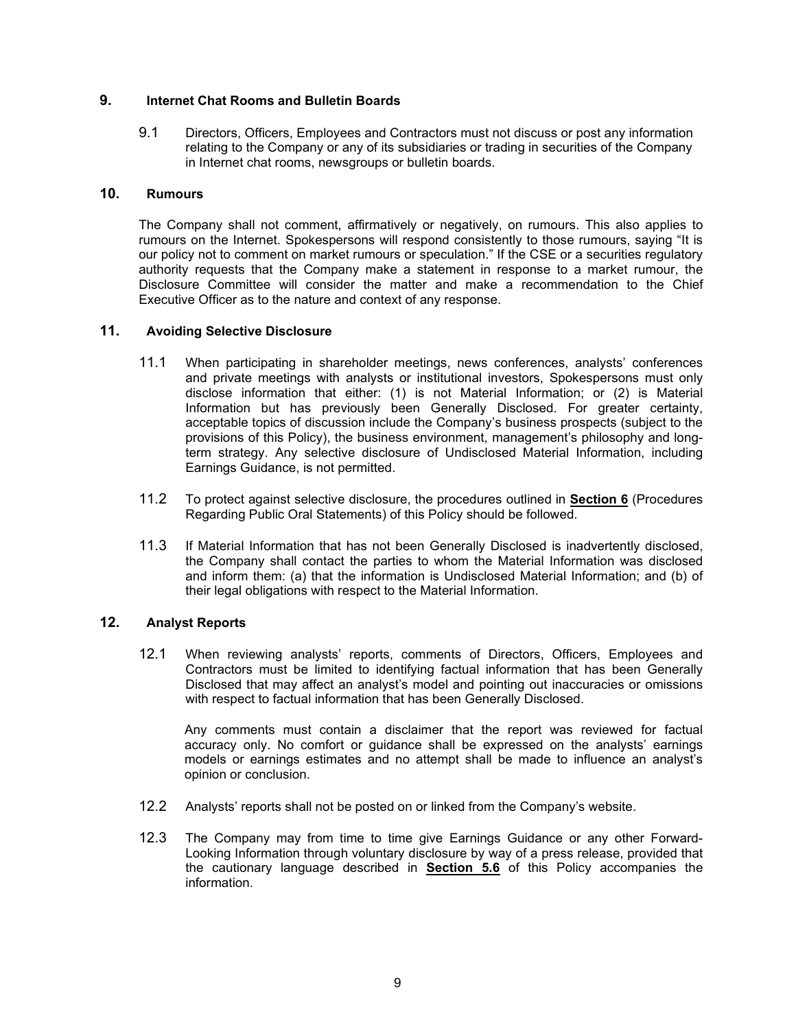## **9. Internet Chat Rooms and Bulletin Boards**

9.1 Directors, Officers, Employees and Contractors must not discuss or post any information relating to the Company or any of its subsidiaries or trading in securities of the Company in Internet chat rooms, newsgroups or bulletin boards.

# **10. Rumours**

The Company shall not comment, affirmatively or negatively, on rumours. This also applies to rumours on the Internet. Spokespersons will respond consistently to those rumours, saying "It is our policy not to comment on market rumours or speculation." If the CSE or a securities regulatory authority requests that the Company make a statement in response to a market rumour, the Disclosure Committee will consider the matter and make a recommendation to the Chief Executive Officer as to the nature and context of any response.

## **11. Avoiding Selective Disclosure**

- 11.1 When participating in shareholder meetings, news conferences, analysts' conferences and private meetings with analysts or institutional investors, Spokespersons must only disclose information that either: (1) is not Material Information; or (2) is Material Information but has previously been Generally Disclosed. For greater certainty, acceptable topics of discussion include the Company's business prospects (subject to the provisions of this Policy), the business environment, management's philosophy and longterm strategy. Any selective disclosure of Undisclosed Material Information, including Earnings Guidance, is not permitted.
- 11.2 To protect against selective disclosure, the procedures outlined in **Section 6** (Procedures Regarding Public Oral Statements) of this Policy should be followed.
- 11.3 If Material Information that has not been Generally Disclosed is inadvertently disclosed, the Company shall contact the parties to whom the Material Information was disclosed and inform them: (a) that the information is Undisclosed Material Information; and (b) of their legal obligations with respect to the Material Information.

#### **12. Analyst Reports**

12.1 When reviewing analysts' reports, comments of Directors, Officers, Employees and Contractors must be limited to identifying factual information that has been Generally Disclosed that may affect an analyst's model and pointing out inaccuracies or omissions with respect to factual information that has been Generally Disclosed.

Any comments must contain a disclaimer that the report was reviewed for factual accuracy only. No comfort or guidance shall be expressed on the analysts' earnings models or earnings estimates and no attempt shall be made to influence an analyst's opinion or conclusion.

- 12.2 Analysts' reports shall not be posted on or linked from the Company's website.
- 12.3 The Company may from time to time give Earnings Guidance or any other Forward-Looking Information through voluntary disclosure by way of a press release, provided that the cautionary language described in **Section 5.6** of this Policy accompanies the information.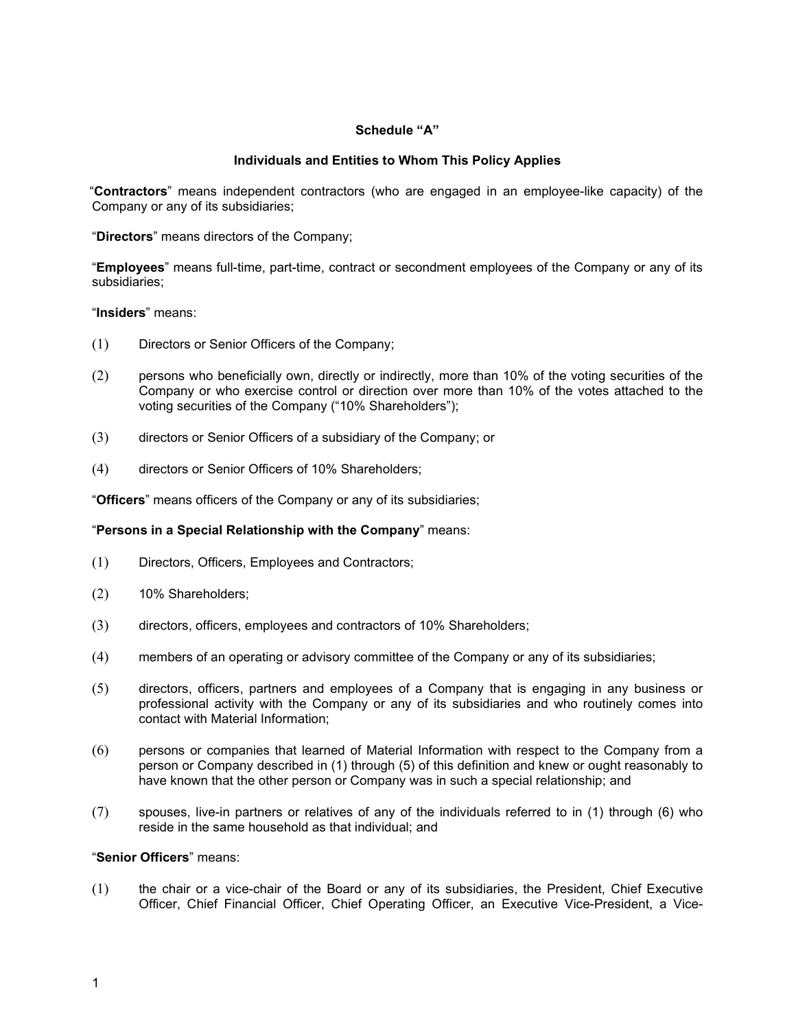### **Schedule "A"**

## **Individuals and Entities to Whom This Policy Applies**

"**Contractors**" means independent contractors (who are engaged in an employee-like capacity) of the Company or any of its subsidiaries;

"**Directors**" means directors of the Company;

"**Employees**" means full-time, part-time, contract or secondment employees of the Company or any of its subsidiaries;

#### "**Insiders**" means:

- (1) Directors or Senior Officers of the Company;
- (2) persons who beneficially own, directly or indirectly, more than 10% of the voting securities of the Company or who exercise control or direction over more than 10% of the votes attached to the voting securities of the Company ("10% Shareholders");
- (3) directors or Senior Officers of a subsidiary of the Company; or
- (4) directors or Senior Officers of 10% Shareholders;

"**Officers**" means officers of the Company or any of its subsidiaries;

#### "**Persons in a Special Relationship with the Company**" means:

- (1) Directors, Officers, Employees and Contractors;
- (2) 10% Shareholders;
- (3) directors, officers, employees and contractors of 10% Shareholders;
- (4) members of an operating or advisory committee of the Company or any of its subsidiaries;
- (5) directors, officers, partners and employees of a Company that is engaging in any business or professional activity with the Company or any of its subsidiaries and who routinely comes into contact with Material Information;
- (6) persons or companies that learned of Material Information with respect to the Company from a person or Company described in (1) through (5) of this definition and knew or ought reasonably to have known that the other person or Company was in such a special relationship; and
- (7) spouses, live-in partners or relatives of any of the individuals referred to in (1) through (6) who reside in the same household as that individual; and

## "**Senior Officers**" means:

(1) the chair or a vice-chair of the Board or any of its subsidiaries, the President, Chief Executive Officer, Chief Financial Officer, Chief Operating Officer, an Executive Vice-President, a Vice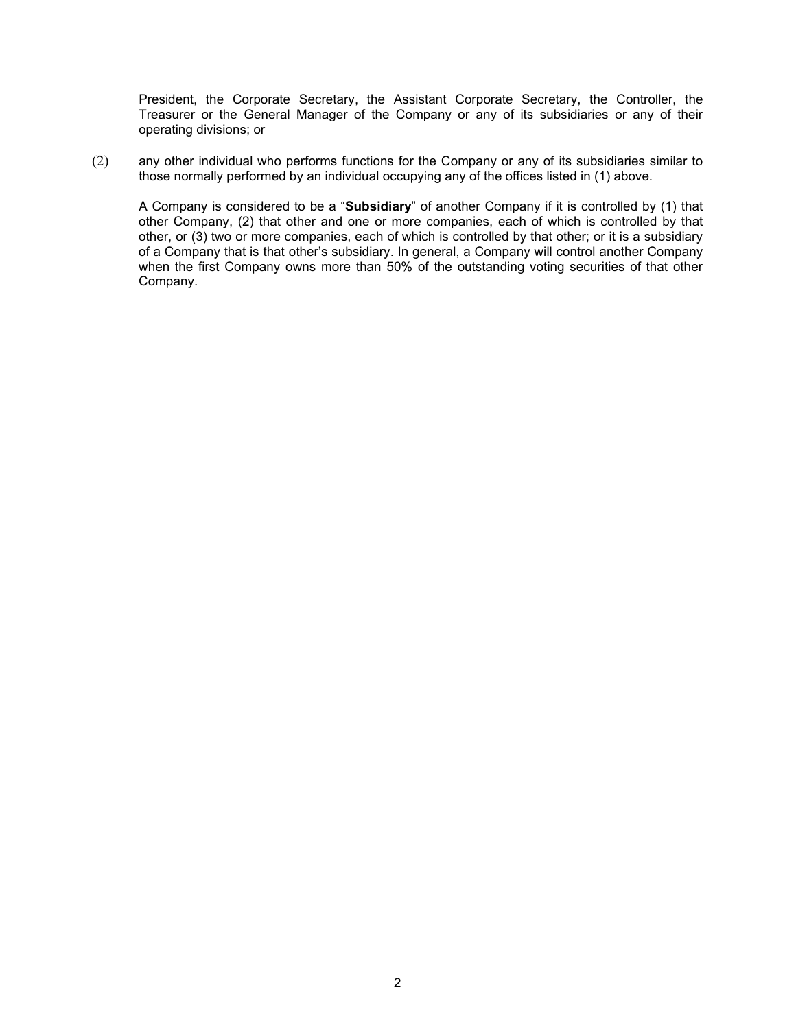President, the Corporate Secretary, the Assistant Corporate Secretary, the Controller, the Treasurer or the General Manager of the Company or any of its subsidiaries or any of their operating divisions; or

(2) any other individual who performs functions for the Company or any of its subsidiaries similar to those normally performed by an individual occupying any of the offices listed in (1) above.

A Company is considered to be a "**Subsidiary**" of another Company if it is controlled by (1) that other Company, (2) that other and one or more companies, each of which is controlled by that other, or (3) two or more companies, each of which is controlled by that other; or it is a subsidiary of a Company that is that other's subsidiary. In general, a Company will control another Company when the first Company owns more than 50% of the outstanding voting securities of that other Company.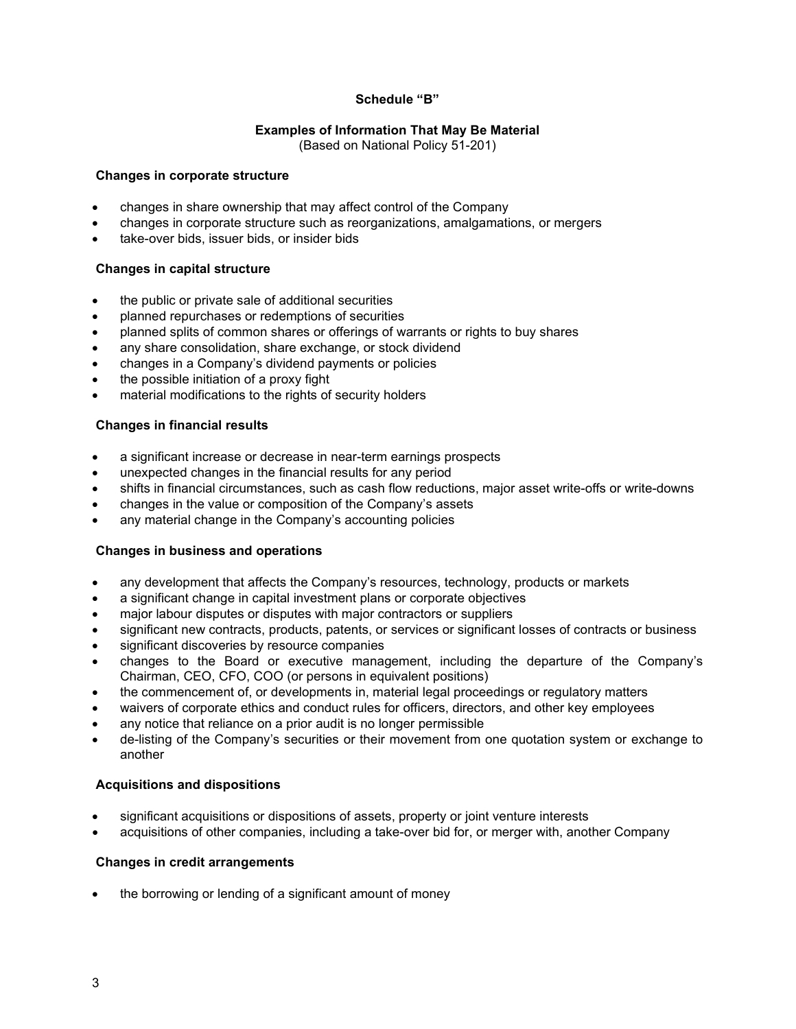# **Schedule "B"**

## **Examples of Information That May Be Material**

(Based on National Policy 51-201)

### **Changes in corporate structure**

- changes in share ownership that may affect control of the Company
- changes in corporate structure such as reorganizations, amalgamations, or mergers
- take-over bids, issuer bids, or insider bids

## **Changes in capital structure**

- the public or private sale of additional securities
- planned repurchases or redemptions of securities
- planned splits of common shares or offerings of warrants or rights to buy shares
- any share consolidation, share exchange, or stock dividend
- changes in a Company's dividend payments or policies
- the possible initiation of a proxy fight
- material modifications to the rights of security holders

## **Changes in financial results**

- a significant increase or decrease in near-term earnings prospects
- unexpected changes in the financial results for any period
- shifts in financial circumstances, such as cash flow reductions, major asset write-offs or write-downs
- changes in the value or composition of the Company's assets
- any material change in the Company's accounting policies

## **Changes in business and operations**

- any development that affects the Company's resources, technology, products or markets
- a significant change in capital investment plans or corporate objectives
- major labour disputes or disputes with major contractors or suppliers
- significant new contracts, products, patents, or services or significant losses of contracts or business
- significant discoveries by resource companies
- changes to the Board or executive management, including the departure of the Company's Chairman, CEO, CFO, COO (or persons in equivalent positions)
- the commencement of, or developments in, material legal proceedings or regulatory matters
- waivers of corporate ethics and conduct rules for officers, directors, and other key employees
- any notice that reliance on a prior audit is no longer permissible
- de-listing of the Company's securities or their movement from one quotation system or exchange to another

#### **Acquisitions and dispositions**

- significant acquisitions or dispositions of assets, property or joint venture interests
- acquisitions of other companies, including a take-over bid for, or merger with, another Company

#### **Changes in credit arrangements**

the borrowing or lending of a significant amount of money